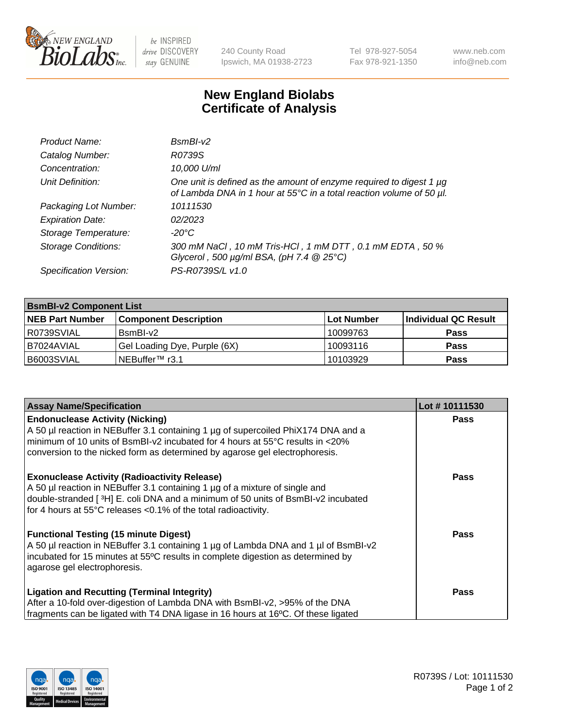

 $be$  INSPIRED drive DISCOVERY stay GENUINE

240 County Road Ipswich, MA 01938-2723 Tel 978-927-5054 Fax 978-921-1350 www.neb.com info@neb.com

## **New England Biolabs Certificate of Analysis**

| Product Name:              | $BsmBl-v2$                                                                                                                                  |
|----------------------------|---------------------------------------------------------------------------------------------------------------------------------------------|
| Catalog Number:            | R0739S                                                                                                                                      |
| Concentration:             | 10,000 U/ml                                                                                                                                 |
| Unit Definition:           | One unit is defined as the amount of enzyme required to digest 1 µg<br>of Lambda DNA in 1 hour at 55°C in a total reaction volume of 50 µl. |
| Packaging Lot Number:      | 10111530                                                                                                                                    |
| <b>Expiration Date:</b>    | 02/2023                                                                                                                                     |
| Storage Temperature:       | $-20^{\circ}$ C                                                                                                                             |
| <b>Storage Conditions:</b> | 300 mM NaCl, 10 mM Tris-HCl, 1 mM DTT, 0.1 mM EDTA, 50 %<br>Glycerol, 500 $\mu$ g/ml BSA, (pH 7.4 $@25°C$ )                                 |
| Specification Version:     | PS-R0739S/L v1.0                                                                                                                            |

| <b>BsmBI-v2 Component List</b> |                              |                   |                      |  |  |
|--------------------------------|------------------------------|-------------------|----------------------|--|--|
| <b>NEB Part Number</b>         | <b>Component Description</b> | <b>Lot Number</b> | Individual QC Result |  |  |
| R0739SVIAL                     | BsmBI-v2                     | 10099763          | <b>Pass</b>          |  |  |
| I B7024AVIAL                   | Gel Loading Dye, Purple (6X) | 10093116          | <b>Pass</b>          |  |  |
| B6003SVIAL                     | INEBuffer™ r3.1              | 10103929          | <b>Pass</b>          |  |  |

| <b>Assay Name/Specification</b>                                                     | Lot #10111530 |
|-------------------------------------------------------------------------------------|---------------|
| <b>Endonuclease Activity (Nicking)</b>                                              | <b>Pass</b>   |
| A 50 µl reaction in NEBuffer 3.1 containing 1 µg of supercoiled PhiX174 DNA and a   |               |
| minimum of 10 units of BsmBI-v2 incubated for 4 hours at 55°C results in <20%       |               |
| conversion to the nicked form as determined by agarose gel electrophoresis.         |               |
| <b>Exonuclease Activity (Radioactivity Release)</b>                                 | Pass          |
| A 50 µl reaction in NEBuffer 3.1 containing 1 µg of a mixture of single and         |               |
| double-stranded [3H] E. coli DNA and a minimum of 50 units of BsmBI-v2 incubated    |               |
| for 4 hours at 55°C releases <0.1% of the total radioactivity.                      |               |
| <b>Functional Testing (15 minute Digest)</b>                                        | Pass          |
| A 50 µl reaction in NEBuffer 3.1 containing 1 µg of Lambda DNA and 1 µl of BsmBI-v2 |               |
| incubated for 15 minutes at 55°C results in complete digestion as determined by     |               |
| agarose gel electrophoresis.                                                        |               |
| <b>Ligation and Recutting (Terminal Integrity)</b>                                  | Pass          |
| After a 10-fold over-digestion of Lambda DNA with BsmBI-v2, >95% of the DNA         |               |
| fragments can be ligated with T4 DNA ligase in 16 hours at 16°C. Of these ligated   |               |